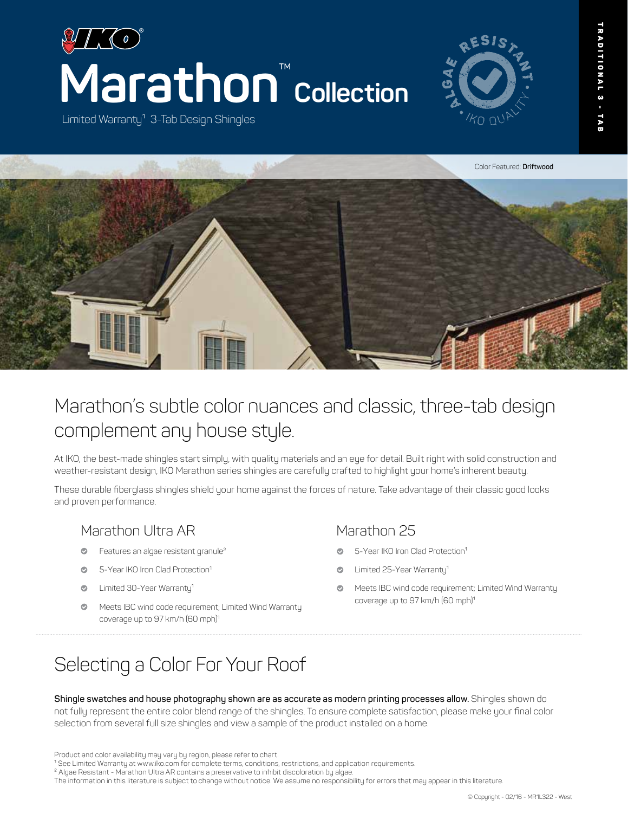

Limited Warranty<sup>1</sup> 3-Tab Design Shingles





# Marathon's subtle color nuances and classic, three-tab design complement any house style.

At IKO, the best-made shingles start simply, with quality materials and an eye for detail. Built right with solid construction and weather-resistant design, IKO Marathon series shingles are carefully crafted to highlight your home's inherent beauty.

These durable fiberglass shingles shield your home against the forces of nature. Take advantage of their classic good looks and proven performance.

## Marathon Ultra AR

- Features an algae resistant granule<sup>2</sup>  $\bullet$
- 5-Year IKO Iron Clad Protection<sup>1</sup>
- Limited 30-Year Warranty<sup>1</sup>
- $\bullet$ Meets IBC wind code requirement; Limited Wind Warranty coverage up to 97 km/h (60 mph)<sup>1</sup>

## Marathon 25

- 5-Year IKO Iron Clad Protection<sup>1</sup>
- Limited 25-Year Warranty<sup>1</sup>
- Meets IBC wind code requirement; Limited Wind Warranty coverage up to 97 km/h (60 mph)<sup>1</sup>

# Selecting a Color For Your Roof

**Shingle swatches and house photography shown are as accurate as modern printing processes allow.** Shingles shown do not fully represent the entire color blend range of the shingles. To ensure complete satisfaction, please make your final color selection from several full size shingles and view a sample of the product installed on a home.

<sup>2</sup> Algae Resistant - Marathon Ultra AR contains a preservative to inhibit discoloration by algae.

The information in this literature is subject to change without notice. We assume no responsibility for errors that may appear in this literature.

Product and color availability may vary by region, please refer to chart.

<sup>&</sup>lt;sup>1</sup> See Limited Warranty at www.iko.com for complete terms, conditions, restrictions, and application requirements.